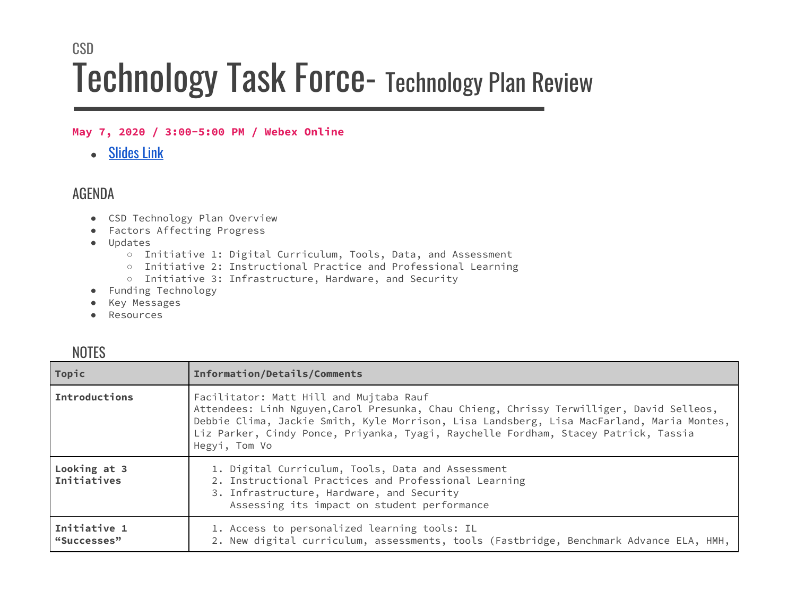## **CSD** Technology Task Force- Technology Plan Review

## **May 7, 2020 / 3:00-5:00 PM / Webex Online**

• [Slides](https://drive.google.com/file/d/10Z9owEphimQDZ0l47TYGde78CJK_MHSk/view) Link

## AGENDA

- CSD Technology Plan Overview
- Factors Affecting Progress
- Updates
	- Initiative 1: Digital Curriculum, Tools, Data, and Assessment
	- Initiative 2: Instructional Practice and Professional Learning
	- Initiative 3: Infrastructure, Hardware, and Security
- Funding Technology
- Key Messages
- Resources

| <b>INUTEO</b>               |                                                                                                                                                                                                                                                                                                                                          |
|-----------------------------|------------------------------------------------------------------------------------------------------------------------------------------------------------------------------------------------------------------------------------------------------------------------------------------------------------------------------------------|
| Topic                       | Information/Details/Comments                                                                                                                                                                                                                                                                                                             |
| Introductions               | Facilitator: Matt Hill and Mujtaba Rauf<br>Attendees: Linh Nguyen, Carol Presunka, Chau Chieng, Chrissy Terwilliger, David Selleos,<br>Debbie Clima, Jackie Smith, Kyle Morrison, Lisa Landsberg, Lisa MacFarland, Maria Montes,<br>Liz Parker, Cindy Ponce, Priyanka, Tyagi, Raychelle Fordham, Stacey Patrick, Tassia<br>Hegyi, Tom Vo |
| Looking at 3<br>Initiatives | 1. Digital Curriculum, Tools, Data and Assessment<br>2. Instructional Practices and Professional Learning<br>3. Infrastructure, Hardware, and Security<br>Assessing its impact on student performance                                                                                                                                    |
| Initiative 1<br>"Successes" | 1. Access to personalized learning tools: IL<br>2. New digital curriculum, assessments, tools (Fastbridge, Benchmark Advance ELA, HMH,                                                                                                                                                                                                   |

## **NOTES**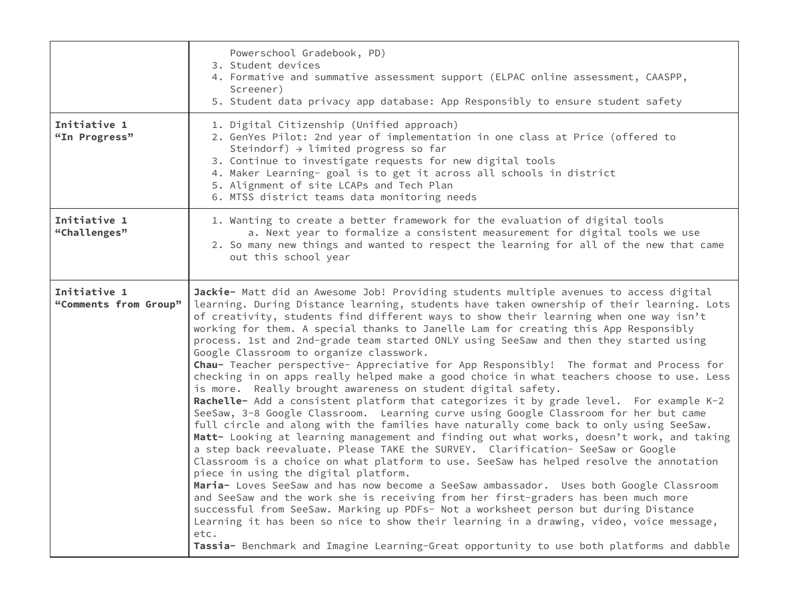|                                       | Powerschool Gradebook, PD)<br>3. Student devices<br>4. Formative and summative assessment support (ELPAC online assessment, CAASPP,<br>Screener)<br>5. Student data privacy app database: App Responsibly to ensure student safety                                                                                                                                                                                                                                                                                                                                                                                                                                                                                                                                                                                                                                                                                                                                                                                                                                                                                                                                                                                                                                                                                                                                                                                                                                                                                                                                                                                                                                                                                                                                                                                                     |
|---------------------------------------|----------------------------------------------------------------------------------------------------------------------------------------------------------------------------------------------------------------------------------------------------------------------------------------------------------------------------------------------------------------------------------------------------------------------------------------------------------------------------------------------------------------------------------------------------------------------------------------------------------------------------------------------------------------------------------------------------------------------------------------------------------------------------------------------------------------------------------------------------------------------------------------------------------------------------------------------------------------------------------------------------------------------------------------------------------------------------------------------------------------------------------------------------------------------------------------------------------------------------------------------------------------------------------------------------------------------------------------------------------------------------------------------------------------------------------------------------------------------------------------------------------------------------------------------------------------------------------------------------------------------------------------------------------------------------------------------------------------------------------------------------------------------------------------------------------------------------------------|
| Initiative 1<br>"In Progress"         | 1. Digital Citizenship (Unified approach)<br>2. GenYes Pilot: 2nd year of implementation in one class at Price (offered to<br>Steindorf) $\rightarrow$ limited progress so far<br>3. Continue to investigate requests for new digital tools<br>4. Maker Learning- goal is to get it across all schools in district<br>5. Alignment of site LCAPs and Tech Plan<br>6. MTSS district teams data monitoring needs                                                                                                                                                                                                                                                                                                                                                                                                                                                                                                                                                                                                                                                                                                                                                                                                                                                                                                                                                                                                                                                                                                                                                                                                                                                                                                                                                                                                                         |
| Initiative 1<br>"Challenges"          | 1. Wanting to create a better framework for the evaluation of digital tools<br>a. Next year to formalize a consistent measurement for digital tools we use<br>2. So many new things and wanted to respect the learning for all of the new that came<br>out this school year                                                                                                                                                                                                                                                                                                                                                                                                                                                                                                                                                                                                                                                                                                                                                                                                                                                                                                                                                                                                                                                                                                                                                                                                                                                                                                                                                                                                                                                                                                                                                            |
| Initiative 1<br>"Comments from Group" | Jackie- Matt did an Awesome Job! Providing students multiple avenues to access digital<br>learning. During Distance learning, students have taken ownership of their learning. Lots<br>of creativity, students find different ways to show their learning when one way isn't<br>working for them. A special thanks to Janelle Lam for creating this App Responsibly<br>process. 1st and 2nd-grade team started ONLY using SeeSaw and then they started using<br>Google Classroom to organize classwork.<br>Chau- Teacher perspective- Appreciative for App Responsibly! The format and Process for<br>checking in on apps really helped make a good choice in what teachers choose to use. Less<br>is more. Really brought awareness on student digital safety.<br>Rachelle- Add a consistent platform that categorizes it by grade level. For example K-2<br>SeeSaw, 3-8 Google Classroom. Learning curve using Google Classroom for her but came<br>full circle and along with the families have naturally come back to only using SeeSaw.<br>Matt- Looking at learning management and finding out what works, doesn't work, and taking<br>a step back reevaluate. Please TAKE the SURVEY. Clarification- SeeSaw or Google<br>Classroom is a choice on what platform to use. SeeSaw has helped resolve the annotation<br>piece in using the digital platform.<br>Maria- Loves SeeSaw and has now become a SeeSaw ambassador. Uses both Google Classroom<br>and SeeSaw and the work she is receiving from her first-graders has been much more<br>successful from SeeSaw. Marking up PDFs- Not a worksheet person but during Distance<br>Learning it has been so nice to show their learning in a drawing, video, voice message,<br>etc.<br>Tassia- Benchmark and Imagine Learning-Great opportunity to use both platforms and dabble |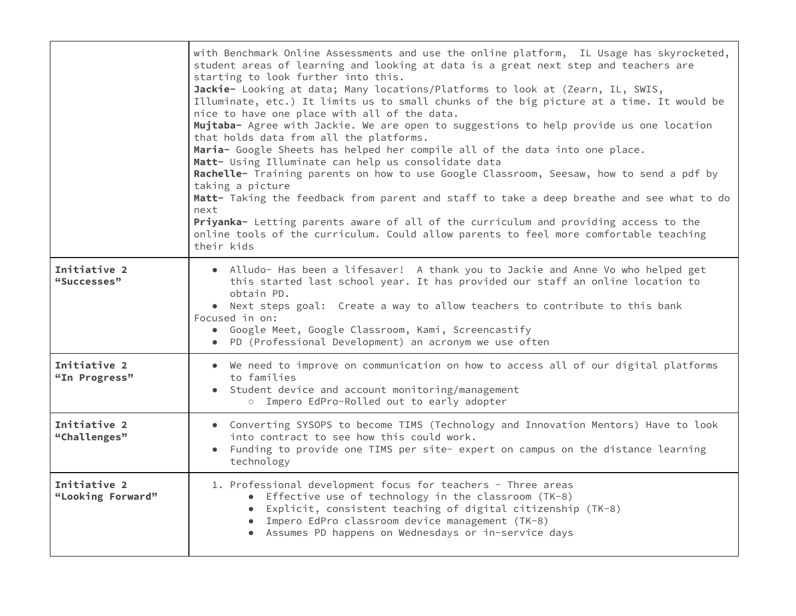|                                   | with Benchmark Online Assessments and use the online platform, IL Usage has skyrocketed,<br>student areas of learning and looking at data is a great next step and teachers are<br>starting to look further into this.<br>Jackie- Looking at data; Many locations/Platforms to look at (Zearn, IL, SWIS,<br>Illuminate, etc.) It limits us to small chunks of the big picture at a time. It would be<br>nice to have one place with all of the data.<br>Mujtaba- Agree with Jackie. We are open to suggestions to help provide us one location<br>that holds data from all the platforms.<br>Maria- Google Sheets has helped her compile all of the data into one place.<br>Matt- Using Illuminate can help us consolidate data<br>Rachelle- Training parents on how to use Google Classroom, Seesaw, how to send a pdf by<br>taking a picture<br>Matt- Taking the feedback from parent and staff to take a deep breathe and see what to do<br>next<br>Priyanka- Letting parents aware of all of the curriculum and providing access to the<br>online tools of the curriculum. Could allow parents to feel more comfortable teaching<br>their kids |
|-----------------------------------|----------------------------------------------------------------------------------------------------------------------------------------------------------------------------------------------------------------------------------------------------------------------------------------------------------------------------------------------------------------------------------------------------------------------------------------------------------------------------------------------------------------------------------------------------------------------------------------------------------------------------------------------------------------------------------------------------------------------------------------------------------------------------------------------------------------------------------------------------------------------------------------------------------------------------------------------------------------------------------------------------------------------------------------------------------------------------------------------------------------------------------------------------|
| Initiative 2<br>"Successes"       | • Alludo- Has been a lifesaver! A thank you to Jackie and Anne Vo who helped get<br>this started last school year. It has provided our staff an online location to<br>obtain PD.<br>• Next steps goal: Create a way to allow teachers to contribute to this bank<br>Focused in on:<br>• Google Meet, Google Classroom, Kami, Screencastify<br>• PD (Professional Development) an acronym we use often                                                                                                                                                                                                                                                                                                                                                                                                                                                                                                                                                                                                                                                                                                                                              |
| Initiative 2<br>"In Progress"     | • We need to improve on communication on how to access all of our digital platforms<br>to families<br>• Student device and account monitoring/management<br>o Impero EdPro-Rolled out to early adopter                                                                                                                                                                                                                                                                                                                                                                                                                                                                                                                                                                                                                                                                                                                                                                                                                                                                                                                                             |
| Initiative 2<br>"Challenges"      | • Converting SYSOPS to become TIMS (Technology and Innovation Mentors) Have to look<br>into contract to see how this could work.<br>• Funding to provide one TIMS per site- expert on campus on the distance learning<br>technology                                                                                                                                                                                                                                                                                                                                                                                                                                                                                                                                                                                                                                                                                                                                                                                                                                                                                                                |
| Initiative 2<br>"Looking Forward" | 1. Professional development focus for teachers - Three areas<br>• Effective use of technology in the classroom (TK-8)<br>• Explicit, consistent teaching of digital citizenship (TK-8)<br>• Impero EdPro classroom device management (TK-8)<br>• Assumes PD happens on Wednesdays or in-service days                                                                                                                                                                                                                                                                                                                                                                                                                                                                                                                                                                                                                                                                                                                                                                                                                                               |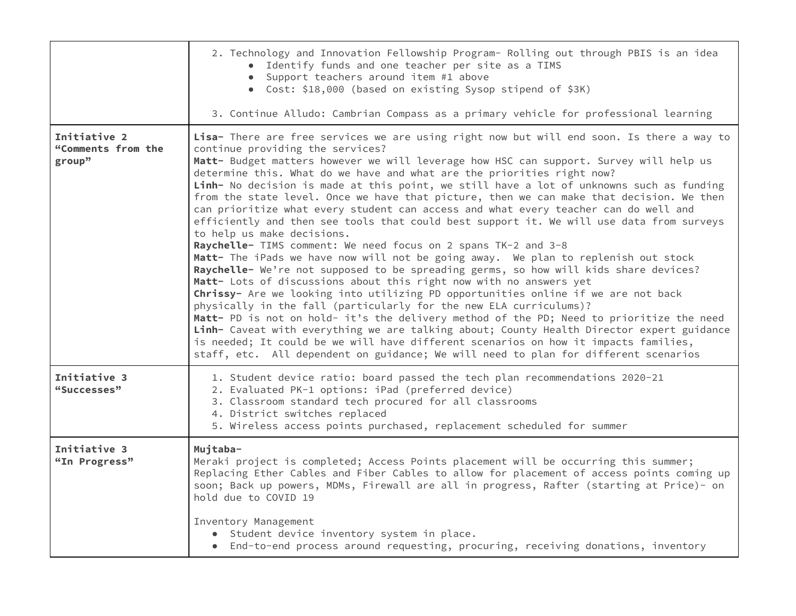|                                              | 2. Technology and Innovation Fellowship Program- Rolling out through PBIS is an idea<br>• Identify funds and one teacher per site as a TIMS<br>• Support teachers around item #1 above<br>• Cost: \$18,000 (based on existing Sysop stipend of \$3K)<br>3. Continue Alludo: Cambrian Compass as a primary vehicle for professional learning                                                                                                                                                                                                                                                                                                                                                                                                                                                                                                                                                                                                                                                                                                                                                                                                                                                                                                                                                                                                                                                                                                                                                                                                                        |
|----------------------------------------------|--------------------------------------------------------------------------------------------------------------------------------------------------------------------------------------------------------------------------------------------------------------------------------------------------------------------------------------------------------------------------------------------------------------------------------------------------------------------------------------------------------------------------------------------------------------------------------------------------------------------------------------------------------------------------------------------------------------------------------------------------------------------------------------------------------------------------------------------------------------------------------------------------------------------------------------------------------------------------------------------------------------------------------------------------------------------------------------------------------------------------------------------------------------------------------------------------------------------------------------------------------------------------------------------------------------------------------------------------------------------------------------------------------------------------------------------------------------------------------------------------------------------------------------------------------------------|
| Initiative 2<br>"Comments from the<br>group" | Lisa- There are free services we are using right now but will end soon. Is there a way to<br>continue providing the services?<br>Matt- Budget matters however we will leverage how HSC can support. Survey will help us<br>determine this. What do we have and what are the priorities right now?<br>Linh- No decision is made at this point, we still have a lot of unknowns such as funding<br>from the state level. Once we have that picture, then we can make that decision. We then<br>can prioritize what every student can access and what every teacher can do well and<br>efficiently and then see tools that could best support it. We will use data from surveys<br>to help us make decisions.<br>Raychelle- TIMS comment: We need focus on 2 spans TK-2 and 3-8<br>Matt- The iPads we have now will not be going away. We plan to replenish out stock<br>Raychelle- We're not supposed to be spreading germs, so how will kids share devices?<br>Matt- Lots of discussions about this right now with no answers yet<br>Chrissy- Are we looking into utilizing PD opportunities online if we are not back<br>physically in the fall (particularly for the new ELA curriculums)?<br>Matt- PD is not on hold- it's the delivery method of the PD; Need to prioritize the need<br>Linh- Caveat with everything we are talking about; County Health Director expert guidance<br>is needed; It could be we will have different scenarios on how it impacts families,<br>staff, etc. All dependent on guidance; We will need to plan for different scenarios |
| Initiative 3<br>"Successes"                  | 1. Student device ratio: board passed the tech plan recommendations 2020-21<br>2. Evaluated PK-1 options: iPad (preferred device)<br>3. Classroom standard tech procured for all classrooms<br>4. District switches replaced<br>5. Wireless access points purchased, replacement scheduled for summer                                                                                                                                                                                                                                                                                                                                                                                                                                                                                                                                                                                                                                                                                                                                                                                                                                                                                                                                                                                                                                                                                                                                                                                                                                                              |
| Initiative 3<br>"In Progress"                | Mujtaba-<br>Meraki project is completed; Access Points placement will be occurring this summer;<br>Replacing Ether Cables and Fiber Cables to allow for placement of access points coming up<br>soon; Back up powers, MDMs, Firewall are all in progress, Rafter (starting at Price)- on<br>hold due to COVID 19<br>Inventory Management                                                                                                                                                                                                                                                                                                                                                                                                                                                                                                                                                                                                                                                                                                                                                                                                                                                                                                                                                                                                                                                                                                                                                                                                                           |
|                                              | • Student device inventory system in place.<br>• End-to-end process around requesting, procuring, receiving donations, inventory                                                                                                                                                                                                                                                                                                                                                                                                                                                                                                                                                                                                                                                                                                                                                                                                                                                                                                                                                                                                                                                                                                                                                                                                                                                                                                                                                                                                                                   |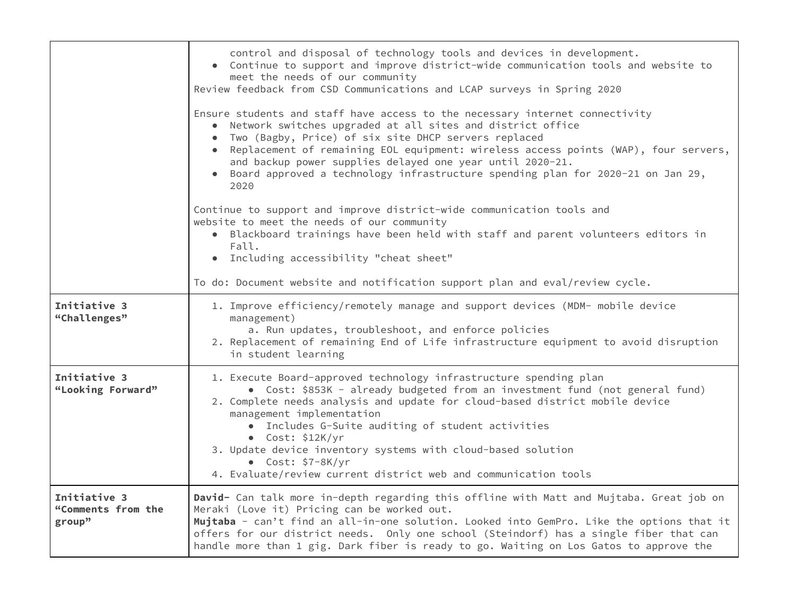|                                              | control and disposal of technology tools and devices in development.<br>• Continue to support and improve district-wide communication tools and website to<br>meet the needs of our community<br>Review feedback from CSD Communications and LCAP surveys in Spring 2020<br>Ensure students and staff have access to the necessary internet connectivity<br>Network switches upgraded at all sites and district office<br>Two (Bagby, Price) of six site DHCP servers replaced<br>• Replacement of remaining EOL equipment: wireless access points (WAP), four servers, |
|----------------------------------------------|-------------------------------------------------------------------------------------------------------------------------------------------------------------------------------------------------------------------------------------------------------------------------------------------------------------------------------------------------------------------------------------------------------------------------------------------------------------------------------------------------------------------------------------------------------------------------|
|                                              | and backup power supplies delayed one year until 2020-21.<br>Board approved a technology infrastructure spending plan for 2020-21 on Jan 29,<br>2020                                                                                                                                                                                                                                                                                                                                                                                                                    |
|                                              | Continue to support and improve district-wide communication tools and<br>website to meet the needs of our community<br>• Blackboard trainings have been held with staff and parent volunteers editors in<br>Fall.<br>• Including accessibility "cheat sheet"                                                                                                                                                                                                                                                                                                            |
|                                              | To do: Document website and notification support plan and eval/review cycle.                                                                                                                                                                                                                                                                                                                                                                                                                                                                                            |
| Initiative 3<br>"Challenges"                 | 1. Improve efficiency/remotely manage and support devices (MDM- mobile device<br>management)<br>a. Run updates, troubleshoot, and enforce policies<br>2. Replacement of remaining End of Life infrastructure equipment to avoid disruption<br>in student learning                                                                                                                                                                                                                                                                                                       |
| Initiative 3<br>"Looking Forward"            | 1. Execute Board-approved technology infrastructure spending plan<br>• Cost: \$853K - already budgeted from an investment fund (not general fund)<br>2. Complete needs analysis and update for cloud-based district mobile device<br>management implementation<br>• Includes G-Suite auditing of student activities<br>$\bullet$ Cost: \$12K/yr<br>3. Update device inventory systems with cloud-based solution<br>$\bullet$ Cost: \$7-8K/yr<br>4. Evaluate/review current district web and communication tools                                                         |
| Initiative 3<br>"Comments from the<br>group" | David- Can talk more in-depth regarding this offline with Matt and Mujtaba. Great job on<br>Meraki (Love it) Pricing can be worked out.<br>Mujtaba - can't find an all-in-one solution. Looked into GemPro. Like the options that it<br>offers for our district needs. Only one school (Steindorf) has a single fiber that can<br>handle more than 1 gig. Dark fiber is ready to go. Waiting on Los Gatos to approve the                                                                                                                                                |